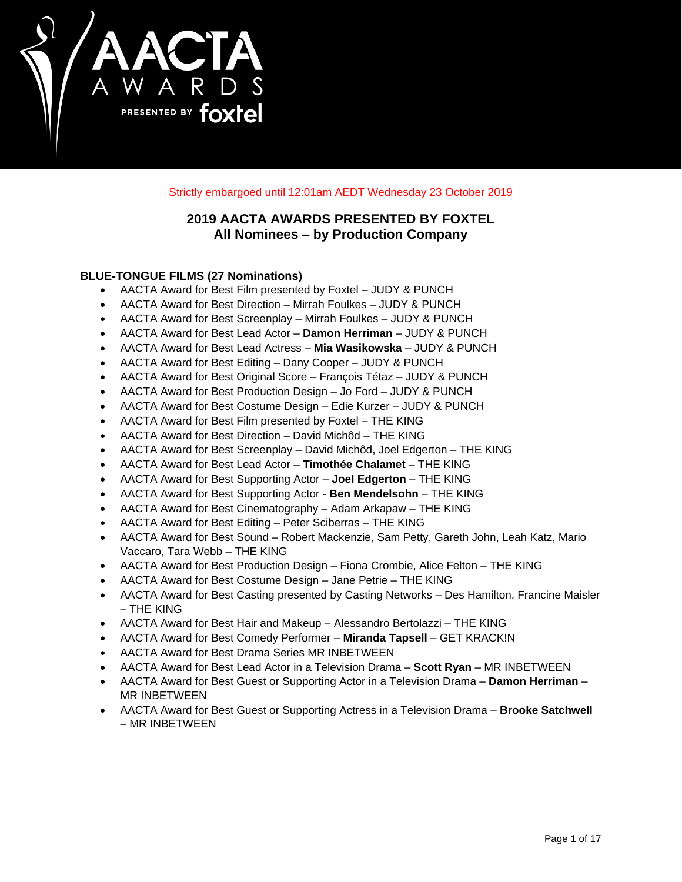

Strictly embargoed until 12:01am AEDT Wednesday 23 October 2019

# **2019 AACTA AWARDS PRESENTED BY FOXTEL All Nominees – by Production Company**

# **BLUE-TONGUE FILMS (27 Nominations)**

- AACTA Award for Best Film presented by Foxtel JUDY & PUNCH
- AACTA Award for Best Direction Mirrah Foulkes JUDY & PUNCH
- AACTA Award for Best Screenplay Mirrah Foulkes JUDY & PUNCH
- AACTA Award for Best Lead Actor **Damon Herriman** JUDY & PUNCH
- AACTA Award for Best Lead Actress **Mia Wasikowska** JUDY & PUNCH
- AACTA Award for Best Editing Dany Cooper JUDY & PUNCH
- AACTA Award for Best Original Score François Tétaz JUDY & PUNCH
- AACTA Award for Best Production Design Jo Ford JUDY & PUNCH
- AACTA Award for Best Costume Design Edie Kurzer JUDY & PUNCH
- AACTA Award for Best Film presented by Foxtel THE KING
- AACTA Award for Best Direction David Michôd THE KING
- AACTA Award for Best Screenplay David Michôd, Joel Edgerton THE KING
- AACTA Award for Best Lead Actor **Timothée Chalamet**  THE KING
- AACTA Award for Best Supporting Actor **Joel Edgerton**  THE KING
- AACTA Award for Best Supporting Actor **Ben Mendelsohn**  THE KING
- AACTA Award for Best Cinematography Adam Arkapaw THE KING
- AACTA Award for Best Editing Peter Sciberras THE KING
- AACTA Award for Best Sound Robert Mackenzie, Sam Petty, Gareth John, Leah Katz, Mario Vaccaro, Tara Webb – THE KING
- AACTA Award for Best Production Design Fiona Crombie, Alice Felton THE KING
- AACTA Award for Best Costume Design Jane Petrie THE KING
- AACTA Award for Best Casting presented by Casting Networks Des Hamilton, Francine Maisler – THE KING
- AACTA Award for Best Hair and Makeup Alessandro Bertolazzi THE KING
- AACTA Award for Best Comedy Performer **Miranda Tapsell** GET KRACK!N
- AACTA Award for Best Drama Series MR INBETWEEN
- AACTA Award for Best Lead Actor in a Television Drama **Scott Ryan** MR INBETWEEN
- AACTA Award for Best Guest or Supporting Actor in a Television Drama **Damon Herriman** MR INBETWEEN
- AACTA Award for Best Guest or Supporting Actress in a Television Drama **Brooke Satchwell** – MR INBETWEEN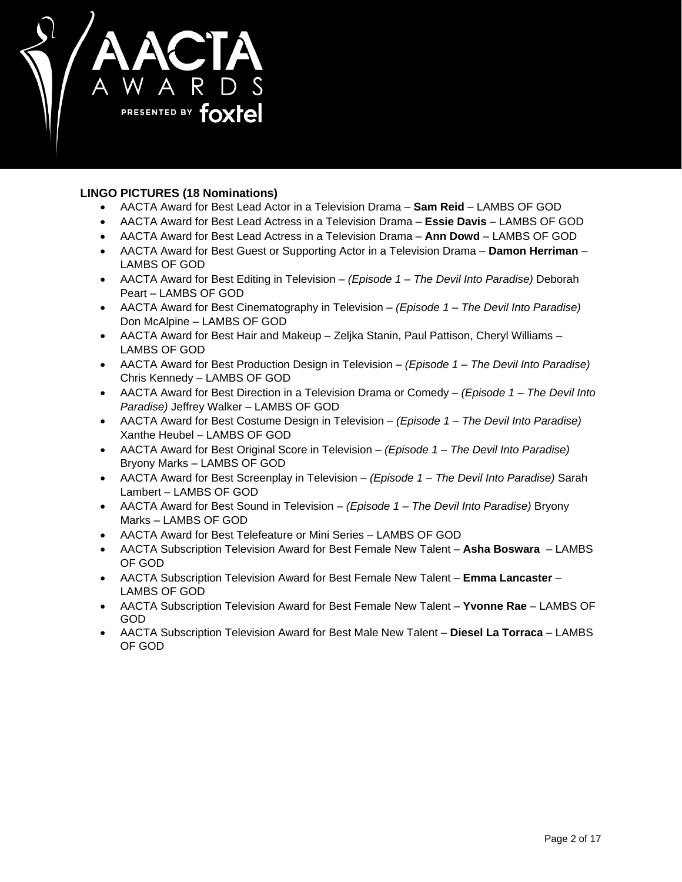

# **LINGO PICTURES (18 Nominations)**

- AACTA Award for Best Lead Actor in a Television Drama **Sam Reid** LAMBS OF GOD
- AACTA Award for Best Lead Actress in a Television Drama **Essie Davis** LAMBS OF GOD
- AACTA Award for Best Lead Actress in a Television Drama **Ann Dowd** LAMBS OF GOD
- AACTA Award for Best Guest or Supporting Actor in a Television Drama **Damon Herriman** LAMBS OF GOD
- AACTA Award for Best Editing in Television *(Episode 1 – The Devil Into Paradise)* Deborah Peart – LAMBS OF GOD
- AACTA Award for Best Cinematography in Television *(Episode 1 – The Devil Into Paradise)* Don McAlpine – LAMBS OF GOD
- AACTA Award for Best Hair and Makeup Zeljka Stanin, Paul Pattison, Cheryl Williams LAMBS OF GOD
- AACTA Award for Best Production Design in Television *(Episode 1 – The Devil Into Paradise)* Chris Kennedy – LAMBS OF GOD
- AACTA Award for Best Direction in a Television Drama or Comedy *(Episode 1 – The Devil Into Paradise)* Jeffrey Walker – LAMBS OF GOD
- AACTA Award for Best Costume Design in Television *(Episode 1 – The Devil Into Paradise)* Xanthe Heubel – LAMBS OF GOD
- AACTA Award for Best Original Score in Television *(Episode 1 – The Devil Into Paradise)* Bryony Marks – LAMBS OF GOD
- AACTA Award for Best Screenplay in Television *(Episode 1 – The Devil Into Paradise)* Sarah Lambert – LAMBS OF GOD
- AACTA Award for Best Sound in Television *(Episode 1 – The Devil Into Paradise)* Bryony Marks – LAMBS OF GOD
- AACTA Award for Best Telefeature or Mini Series LAMBS OF GOD
- AACTA Subscription Television Award for Best Female New Talent **Asha Boswara**  LAMBS OF GOD
- AACTA Subscription Television Award for Best Female New Talent **Emma Lancaster**  LAMBS OF GOD
- AACTA Subscription Television Award for Best Female New Talent **Yvonne Rae**  LAMBS OF GOD
- AACTA Subscription Television Award for Best Male New Talent **Diesel La Torraca** LAMBS OF GOD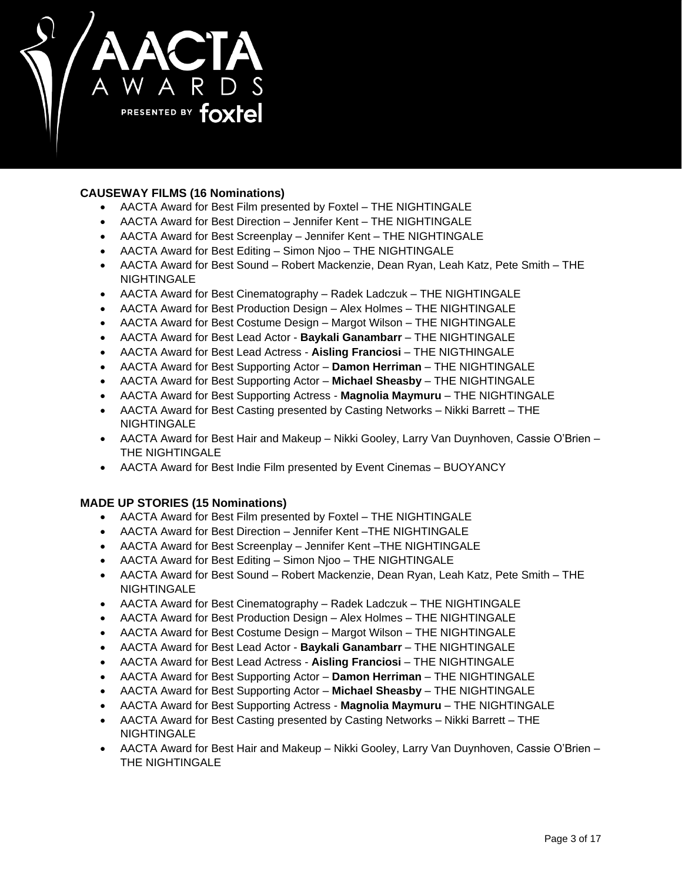

# **CAUSEWAY FILMS (16 Nominations)**

- AACTA Award for Best Film presented by Foxtel THE NIGHTINGALE
- AACTA Award for Best Direction Jennifer Kent THE NIGHTINGALE
- AACTA Award for Best Screenplay Jennifer Kent THE NIGHTINGALE
- AACTA Award for Best Editing Simon Njoo THE NIGHTINGALE
- AACTA Award for Best Sound Robert Mackenzie, Dean Ryan, Leah Katz, Pete Smith THE **NIGHTINGALE**
- AACTA Award for Best Cinematography Radek Ladczuk THE NIGHTINGALE
- AACTA Award for Best Production Design Alex Holmes THE NIGHTINGALE
- AACTA Award for Best Costume Design Margot Wilson THE NIGHTINGALE
- AACTA Award for Best Lead Actor **Baykali Ganambarr** THE NIGHTINGALE
- AACTA Award for Best Lead Actress **Aisling Franciosi** THE NIGTHINGALE
- AACTA Award for Best Supporting Actor **Damon Herriman** THE NIGHTINGALE
- AACTA Award for Best Supporting Actor **Michael Sheasby** THE NIGHTINGALE
- AACTA Award for Best Supporting Actress **Magnolia Maymuru** THE NIGHTINGALE
- AACTA Award for Best Casting presented by Casting Networks Nikki Barrett THE **NIGHTINGALE**
- AACTA Award for Best Hair and Makeup Nikki Gooley, Larry Van Duynhoven, Cassie O'Brien THE NIGHTINGALE
- AACTA Award for Best Indie Film presented by Event Cinemas BUOYANCY

# **MADE UP STORIES (15 Nominations)**

- AACTA Award for Best Film presented by Foxtel THE NIGHTINGALE
- AACTA Award for Best Direction Jennifer Kent –THE NIGHTINGALE
- AACTA Award for Best Screenplay Jennifer Kent –THE NIGHTINGALE
- AACTA Award for Best Editing Simon Njoo THE NIGHTINGALE
- AACTA Award for Best Sound Robert Mackenzie, Dean Ryan, Leah Katz, Pete Smith THE **NIGHTINGALE**
- AACTA Award for Best Cinematography Radek Ladczuk THE NIGHTINGALE
- AACTA Award for Best Production Design Alex Holmes THE NIGHTINGALE
- AACTA Award for Best Costume Design Margot Wilson THE NIGHTINGALE
- AACTA Award for Best Lead Actor **Baykali Ganambarr** THE NIGHTINGALE
- AACTA Award for Best Lead Actress **Aisling Franciosi** THE NIGHTINGALE
- AACTA Award for Best Supporting Actor **Damon Herriman** THE NIGHTINGALE
- AACTA Award for Best Supporting Actor **Michael Sheasby** THE NIGHTINGALE
- AACTA Award for Best Supporting Actress **Magnolia Maymuru** THE NIGHTINGALE
- AACTA Award for Best Casting presented by Casting Networks Nikki Barrett THE **NIGHTINGALE**
- AACTA Award for Best Hair and Makeup Nikki Gooley, Larry Van Duynhoven, Cassie O'Brien THE NIGHTINGALE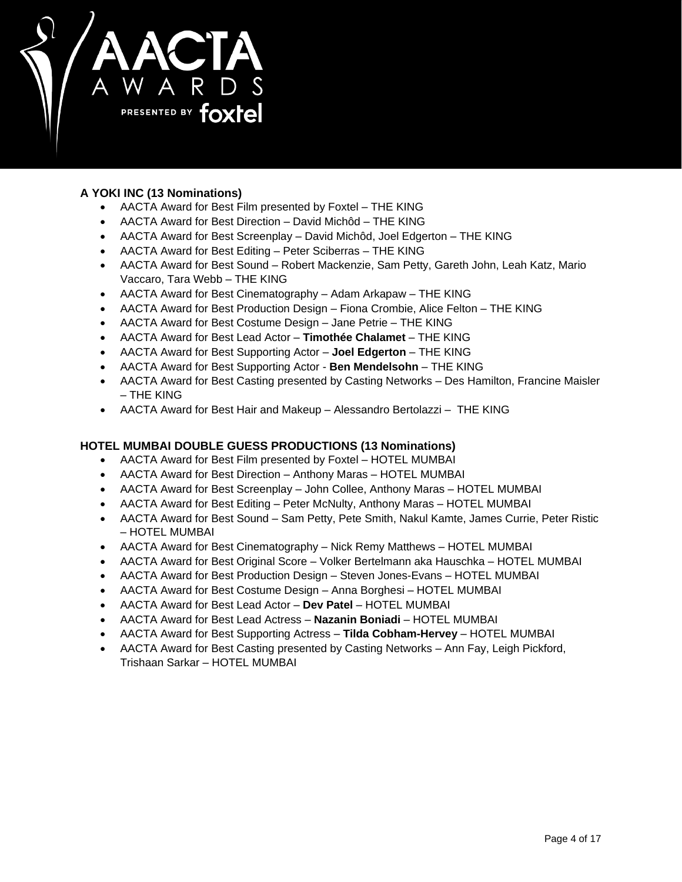

# **A YOKI INC (13 Nominations)**

- AACTA Award for Best Film presented by Foxtel THE KING
- AACTA Award for Best Direction David Michôd THE KING
- AACTA Award for Best Screenplay David Michôd, Joel Edgerton THE KING
- AACTA Award for Best Editing Peter Sciberras THE KING
- AACTA Award for Best Sound Robert Mackenzie, Sam Petty, Gareth John, Leah Katz, Mario Vaccaro, Tara Webb – THE KING
- AACTA Award for Best Cinematography Adam Arkapaw THE KING
- AACTA Award for Best Production Design Fiona Crombie, Alice Felton THE KING
- AACTA Award for Best Costume Design Jane Petrie THE KING
- AACTA Award for Best Lead Actor **Timothée Chalamet**  THE KING
- AACTA Award for Best Supporting Actor **Joel Edgerton**  THE KING
- AACTA Award for Best Supporting Actor **Ben Mendelsohn**  THE KING
- AACTA Award for Best Casting presented by Casting Networks Des Hamilton, Francine Maisler – THE KING
- AACTA Award for Best Hair and Makeup Alessandro Bertolazzi THE KING

# **HOTEL MUMBAI DOUBLE GUESS PRODUCTIONS (13 Nominations)**

- AACTA Award for Best Film presented by Foxtel HOTEL MUMBAI
- AACTA Award for Best Direction Anthony Maras HOTEL MUMBAI
- AACTA Award for Best Screenplay John Collee, Anthony Maras HOTEL MUMBAI
- AACTA Award for Best Editing Peter McNulty, Anthony Maras HOTEL MUMBAI
- AACTA Award for Best Sound Sam Petty, Pete Smith, Nakul Kamte, James Currie, Peter Ristic – HOTEL MUMBAI
- AACTA Award for Best Cinematography Nick Remy Matthews HOTEL MUMBAI
- AACTA Award for Best Original Score Volker Bertelmann aka Hauschka HOTEL MUMBAI
- AACTA Award for Best Production Design Steven Jones-Evans HOTEL MUMBAI
- AACTA Award for Best Costume Design Anna Borghesi HOTEL MUMBAI
- AACTA Award for Best Lead Actor **Dev Patel** HOTEL MUMBAI
- AACTA Award for Best Lead Actress **Nazanin Boniadi** HOTEL MUMBAI
- AACTA Award for Best Supporting Actress **Tilda Cobham-Hervey** HOTEL MUMBAI
- AACTA Award for Best Casting presented by Casting Networks Ann Fay, Leigh Pickford, Trishaan Sarkar – HOTEL MUMBAI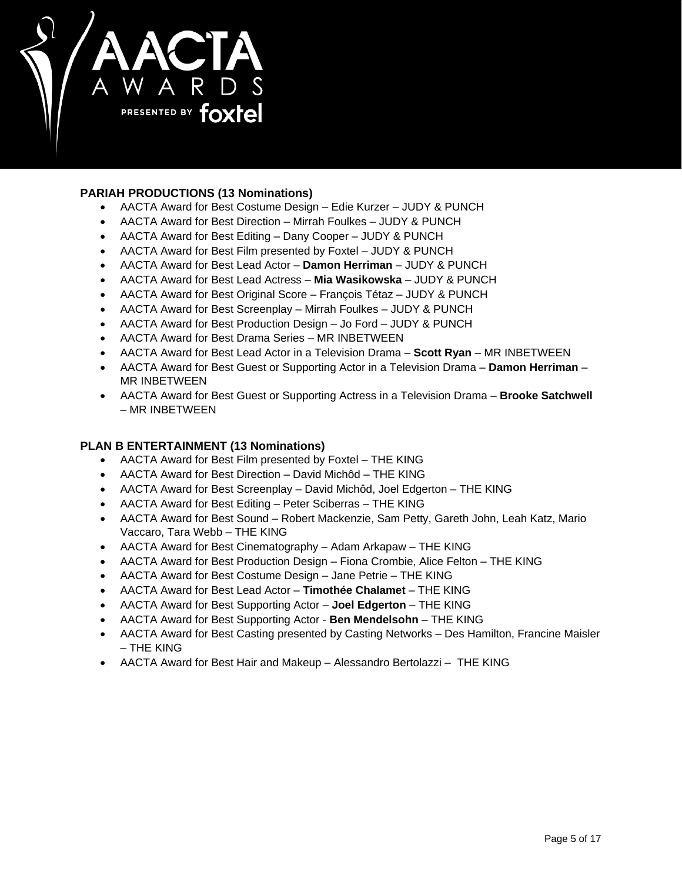

# **PARIAH PRODUCTIONS (13 Nominations)**

- AACTA Award for Best Costume Design Edie Kurzer JUDY & PUNCH
- AACTA Award for Best Direction Mirrah Foulkes JUDY & PUNCH
- AACTA Award for Best Editing Dany Cooper JUDY & PUNCH
- AACTA Award for Best Film presented by Foxtel JUDY & PUNCH
- AACTA Award for Best Lead Actor **Damon Herriman** JUDY & PUNCH
- AACTA Award for Best Lead Actress **Mia Wasikowska** JUDY & PUNCH
- AACTA Award for Best Original Score François Tétaz JUDY & PUNCH
- AACTA Award for Best Screenplay Mirrah Foulkes JUDY & PUNCH
- AACTA Award for Best Production Design Jo Ford JUDY & PUNCH
- AACTA Award for Best Drama Series MR INBETWEEN
- AACTA Award for Best Lead Actor in a Television Drama **Scott Ryan** MR INBETWEEN
- AACTA Award for Best Guest or Supporting Actor in a Television Drama **Damon Herriman** MR INBETWEEN
- AACTA Award for Best Guest or Supporting Actress in a Television Drama **Brooke Satchwell** – MR INBETWEEN

# **PLAN B ENTERTAINMENT (13 Nominations)**

- AACTA Award for Best Film presented by Foxtel THE KING
- AACTA Award for Best Direction David Michôd THE KING
- AACTA Award for Best Screenplay David Michôd, Joel Edgerton THE KING
- AACTA Award for Best Editing Peter Sciberras THE KING
- AACTA Award for Best Sound Robert Mackenzie, Sam Petty, Gareth John, Leah Katz, Mario Vaccaro, Tara Webb – THE KING
- AACTA Award for Best Cinematography Adam Arkapaw THE KING
- AACTA Award for Best Production Design Fiona Crombie, Alice Felton THE KING
- AACTA Award for Best Costume Design Jane Petrie THE KING
- AACTA Award for Best Lead Actor **Timothée Chalamet**  THE KING
- AACTA Award for Best Supporting Actor **Joel Edgerton**  THE KING
- AACTA Award for Best Supporting Actor **Ben Mendelsohn**  THE KING
- AACTA Award for Best Casting presented by Casting Networks Des Hamilton, Francine Maisler – THE KING
- AACTA Award for Best Hair and Makeup Alessandro Bertolazzi THE KING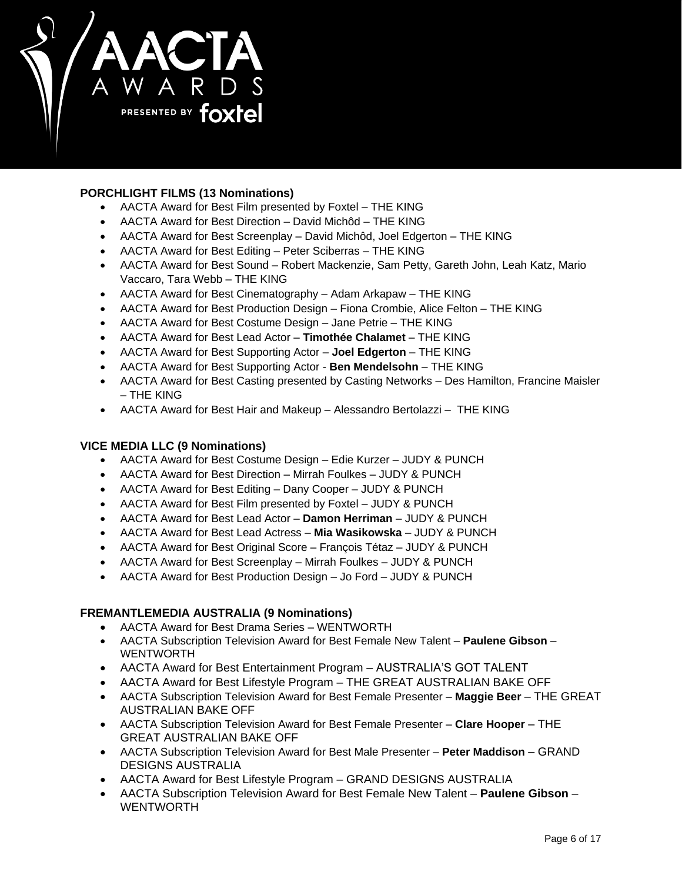

# **PORCHLIGHT FILMS (13 Nominations)**

- AACTA Award for Best Film presented by Foxtel THE KING
- AACTA Award for Best Direction David Michôd THE KING
- AACTA Award for Best Screenplay David Michôd, Joel Edgerton THE KING
- AACTA Award for Best Editing Peter Sciberras THE KING
- AACTA Award for Best Sound Robert Mackenzie, Sam Petty, Gareth John, Leah Katz, Mario Vaccaro, Tara Webb – THE KING
- AACTA Award for Best Cinematography Adam Arkapaw THE KING
- AACTA Award for Best Production Design Fiona Crombie, Alice Felton THE KING
- AACTA Award for Best Costume Design Jane Petrie THE KING
- AACTA Award for Best Lead Actor **Timothée Chalamet**  THE KING
- AACTA Award for Best Supporting Actor **Joel Edgerton**  THE KING
- AACTA Award for Best Supporting Actor **Ben Mendelsohn**  THE KING
- AACTA Award for Best Casting presented by Casting Networks Des Hamilton, Francine Maisler – THE KING
- AACTA Award for Best Hair and Makeup Alessandro Bertolazzi THE KING

# **VICE MEDIA LLC (9 Nominations)**

- AACTA Award for Best Costume Design Edie Kurzer JUDY & PUNCH
- AACTA Award for Best Direction Mirrah Foulkes JUDY & PUNCH
- AACTA Award for Best Editing Dany Cooper JUDY & PUNCH
- AACTA Award for Best Film presented by Foxtel JUDY & PUNCH
- AACTA Award for Best Lead Actor **Damon Herriman** JUDY & PUNCH
- AACTA Award for Best Lead Actress **Mia Wasikowska** JUDY & PUNCH
- AACTA Award for Best Original Score François Tétaz JUDY & PUNCH
- AACTA Award for Best Screenplay Mirrah Foulkes JUDY & PUNCH
- AACTA Award for Best Production Design Jo Ford JUDY & PUNCH

# **FREMANTLEMEDIA AUSTRALIA (9 Nominations)**

- AACTA Award for Best Drama Series WENTWORTH
- AACTA Subscription Television Award for Best Female New Talent **Paulene Gibson** WENTWORTH
- AACTA Award for Best Entertainment Program AUSTRALIA'S GOT TALENT
- AACTA Award for Best Lifestyle Program THE GREAT AUSTRALIAN BAKE OFF
- AACTA Subscription Television Award for Best Female Presenter **Maggie Beer** THE GREAT AUSTRALIAN BAKE OFF
- AACTA Subscription Television Award for Best Female Presenter **Clare Hooper** THE GREAT AUSTRALIAN BAKE OFF
- AACTA Subscription Television Award for Best Male Presenter **Peter Maddison** GRAND DESIGNS AUSTRALIA
- AACTA Award for Best Lifestyle Program GRAND DESIGNS AUSTRALIA
- AACTA Subscription Television Award for Best Female New Talent **Paulene Gibson** WENTWORTH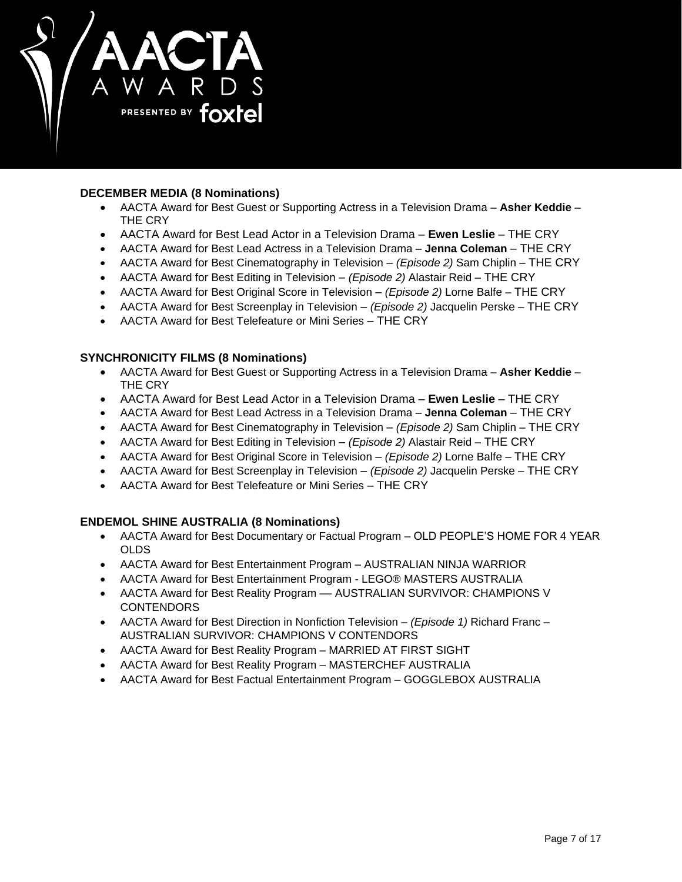

# **DECEMBER MEDIA (8 Nominations)**

- AACTA Award for Best Guest or Supporting Actress in a Television Drama **Asher Keddie** THE CRY
- AACTA Award for Best Lead Actor in a Television Drama **Ewen Leslie** THE CRY
- AACTA Award for Best Lead Actress in a Television Drama **Jenna Coleman** THE CRY
- AACTA Award for Best Cinematography in Television *(Episode 2)* Sam Chiplin THE CRY
- AACTA Award for Best Editing in Television *(Episode 2)* Alastair Reid THE CRY
- AACTA Award for Best Original Score in Television *(Episode 2)* Lorne Balfe THE CRY
- AACTA Award for Best Screenplay in Television *(Episode 2)* Jacquelin Perske THE CRY
- AACTA Award for Best Telefeature or Mini Series THE CRY

# **SYNCHRONICITY FILMS (8 Nominations)**

- AACTA Award for Best Guest or Supporting Actress in a Television Drama **Asher Keddie** THE CRY
- AACTA Award for Best Lead Actor in a Television Drama **Ewen Leslie** THE CRY
- AACTA Award for Best Lead Actress in a Television Drama **Jenna Coleman** THE CRY
- AACTA Award for Best Cinematography in Television *(Episode 2)* Sam Chiplin THE CRY
- AACTA Award for Best Editing in Television *(Episode 2)* Alastair Reid THE CRY
- AACTA Award for Best Original Score in Television *(Episode 2)* Lorne Balfe THE CRY
- AACTA Award for Best Screenplay in Television *(Episode 2)* Jacquelin Perske THE CRY
- AACTA Award for Best Telefeature or Mini Series THE CRY

# **ENDEMOL SHINE AUSTRALIA (8 Nominations)**

- AACTA Award for Best Documentary or Factual Program OLD PEOPLE'S HOME FOR 4 YEAR OLDS
- AACTA Award for Best Entertainment Program AUSTRALIAN NINJA WARRIOR
- AACTA Award for Best Entertainment Program LEGO® MASTERS AUSTRALIA
- AACTA Award for Best Reality Program -- AUSTRALIAN SURVIVOR: CHAMPIONS V **CONTENDORS**
- AACTA Award for Best Direction in Nonfiction Television *(Episode 1)* Richard Franc AUSTRALIAN SURVIVOR: CHAMPIONS V CONTENDORS
- AACTA Award for Best Reality Program MARRIED AT FIRST SIGHT
- AACTA Award for Best Reality Program MASTERCHEF AUSTRALIA
- AACTA Award for Best Factual Entertainment Program GOGGLEBOX AUSTRALIA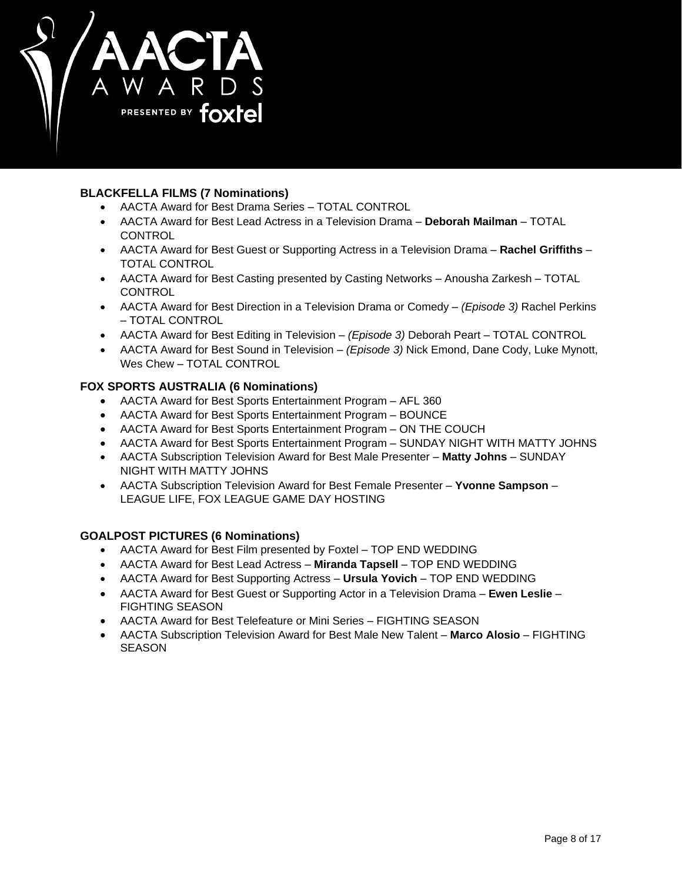

# **BLACKFELLA FILMS (7 Nominations)**

- AACTA Award for Best Drama Series TOTAL CONTROL
- AACTA Award for Best Lead Actress in a Television Drama **Deborah Mailman** TOTAL CONTROL
- AACTA Award for Best Guest or Supporting Actress in a Television Drama **Rachel Griffiths** TOTAL CONTROL
- AACTA Award for Best Casting presented by Casting Networks Anousha Zarkesh TOTAL **CONTROL**
- AACTA Award for Best Direction in a Television Drama or Comedy *(Episode 3)* Rachel Perkins – TOTAL CONTROL
- AACTA Award for Best Editing in Television *(Episode 3)* Deborah Peart TOTAL CONTROL
- AACTA Award for Best Sound in Television *(Episode 3)* Nick Emond, Dane Cody, Luke Mynott, Wes Chew – TOTAL CONTROL

# **FOX SPORTS AUSTRALIA (6 Nominations)**

- AACTA Award for Best Sports Entertainment Program AFL 360
- AACTA Award for Best Sports Entertainment Program BOUNCE
- AACTA Award for Best Sports Entertainment Program ON THE COUCH
- AACTA Award for Best Sports Entertainment Program SUNDAY NIGHT WITH MATTY JOHNS
- AACTA Subscription Television Award for Best Male Presenter **Matty Johns** SUNDAY NIGHT WITH MATTY JOHNS
- AACTA Subscription Television Award for Best Female Presenter **Yvonne Sampson** LEAGUE LIFE, FOX LEAGUE GAME DAY HOSTING

# **GOALPOST PICTURES (6 Nominations)**

- AACTA Award for Best Film presented by Foxtel TOP END WEDDING
- AACTA Award for Best Lead Actress **Miranda Tapsell** TOP END WEDDING
- AACTA Award for Best Supporting Actress **Ursula Yovich** TOP END WEDDING
- AACTA Award for Best Guest or Supporting Actor in a Television Drama **Ewen Leslie** FIGHTING SEASON
- AACTA Award for Best Telefeature or Mini Series FIGHTING SEASON
- AACTA Subscription Television Award for Best Male New Talent **Marco Alosio** FIGHTING **SEASON**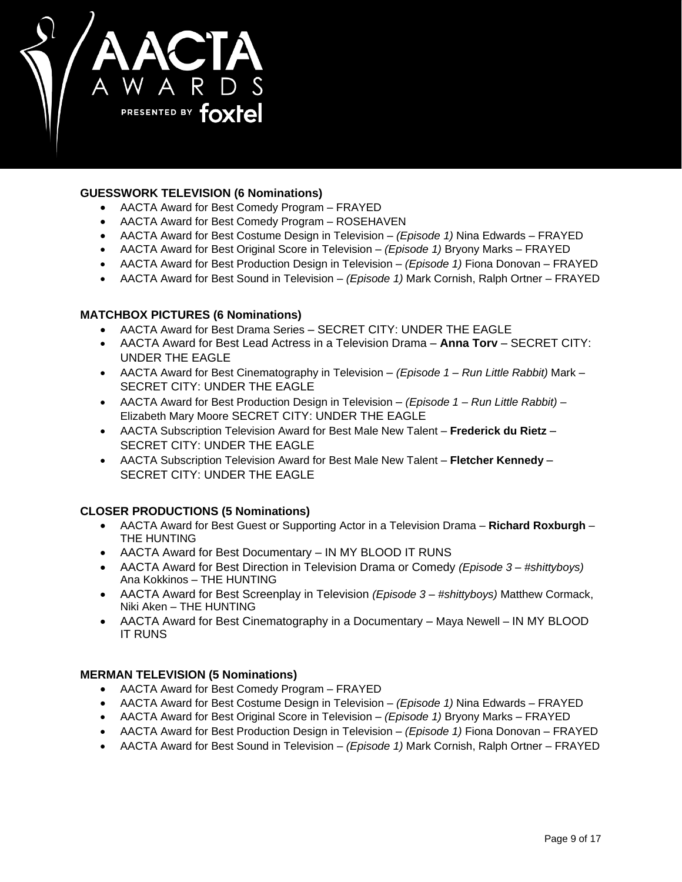

# **GUESSWORK TELEVISION (6 Nominations)**

- AACTA Award for Best Comedy Program FRAYED
- AACTA Award for Best Comedy Program ROSEHAVEN
- AACTA Award for Best Costume Design in Television *(Episode 1)* Nina Edwards FRAYED
- AACTA Award for Best Original Score in Television *(Episode 1)* Bryony Marks FRAYED
- AACTA Award for Best Production Design in Television *(Episode 1)* Fiona Donovan FRAYED
- AACTA Award for Best Sound in Television *(Episode 1)* Mark Cornish, Ralph Ortner FRAYED

# **MATCHBOX PICTURES (6 Nominations)**

- AACTA Award for Best Drama Series SECRET CITY: UNDER THE EAGLE
- AACTA Award for Best Lead Actress in a Television Drama **Anna Torv** SECRET CITY: UNDER THE EAGLE
- AACTA Award for Best Cinematography in Television *(Episode 1 – Run Little Rabbit)* Mark SECRET CITY: UNDER THE EAGLE
- AACTA Award for Best Production Design in Television *(Episode 1 – Run Little Rabbit)* Elizabeth Mary Moore SECRET CITY: UNDER THE EAGLE
- AACTA Subscription Television Award for Best Male New Talent **Frederick du Rietz** SECRET CITY: UNDER THE EAGLE
- AACTA Subscription Television Award for Best Male New Talent **Fletcher Kennedy** SECRET CITY: UNDER THE EAGLE

# **CLOSER PRODUCTIONS (5 Nominations)**

- AACTA Award for Best Guest or Supporting Actor in a Television Drama **Richard Roxburgh** THE HUNTING
- AACTA Award for Best Documentary IN MY BLOOD IT RUNS
- AACTA Award for Best Direction in Television Drama or Comedy *(Episode 3 – #shittyboys)*  Ana Kokkinos – THE HUNTING
- AACTA Award for Best Screenplay in Television *(Episode 3 – #shittyboys)* Matthew Cormack, Niki Aken – THE HUNTING
- AACTA Award for Best Cinematography in a Documentary Maya Newell IN MY BLOOD IT RUNS

# **MERMAN TELEVISION (5 Nominations)**

- AACTA Award for Best Comedy Program FRAYED
- AACTA Award for Best Costume Design in Television *(Episode 1)* Nina Edwards FRAYED
- AACTA Award for Best Original Score in Television *(Episode 1)* Bryony Marks FRAYED
- AACTA Award for Best Production Design in Television *(Episode 1)* Fiona Donovan FRAYED
- AACTA Award for Best Sound in Television *(Episode 1)* Mark Cornish, Ralph Ortner FRAYED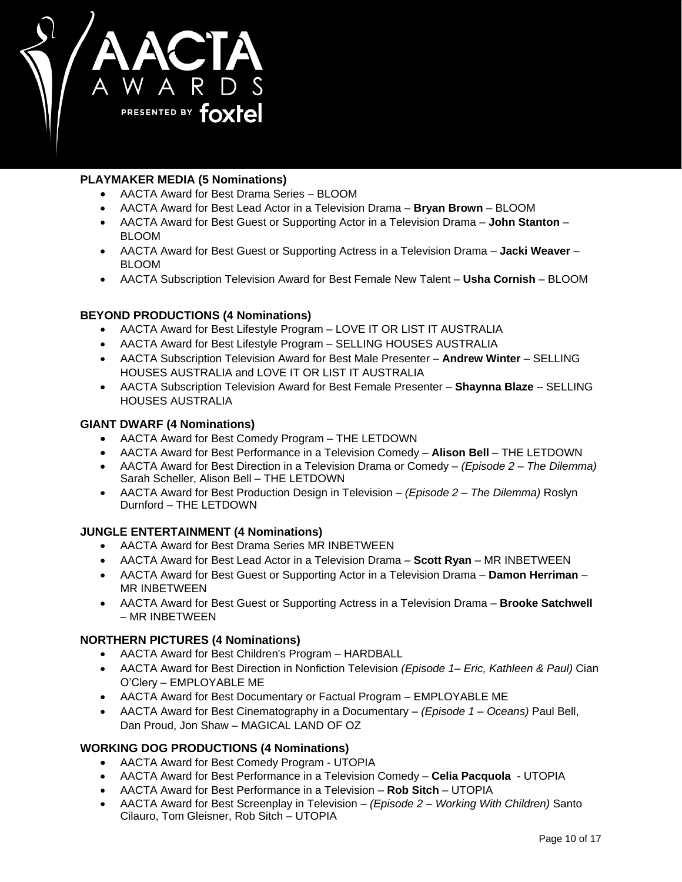

# **PLAYMAKER MEDIA (5 Nominations)**

- AACTA Award for Best Drama Series BLOOM
- AACTA Award for Best Lead Actor in a Television Drama **Bryan Brown**  BLOOM
- AACTA Award for Best Guest or Supporting Actor in a Television Drama **John Stanton** BLOOM
- AACTA Award for Best Guest or Supporting Actress in a Television Drama **Jacki Weaver** BLOOM
- AACTA Subscription Television Award for Best Female New Talent **Usha Cornish** BLOOM

# **BEYOND PRODUCTIONS (4 Nominations)**

- AACTA Award for Best Lifestyle Program LOVE IT OR LIST IT AUSTRALIA
- AACTA Award for Best Lifestyle Program SELLING HOUSES AUSTRALIA
- AACTA Subscription Television Award for Best Male Presenter **Andrew Winter** SELLING HOUSES AUSTRALIA and LOVE IT OR LIST IT AUSTRALIA
- AACTA Subscription Television Award for Best Female Presenter **Shaynna Blaze** SELLING HOUSES AUSTRALIA

## **GIANT DWARF (4 Nominations)**

- AACTA Award for Best Comedy Program THE LETDOWN
- AACTA Award for Best Performance in a Television Comedy **Alison Bell** THE LETDOWN
- AACTA Award for Best Direction in a Television Drama or Comedy *(Episode 2 – The Dilemma)*  Sarah Scheller, Alison Bell – THE LETDOWN
- AACTA Award for Best Production Design in Television *(Episode 2 – The Dilemma)* Roslyn Durnford – THE LETDOWN

# **JUNGLE ENTERTAINMENT (4 Nominations)**

- AACTA Award for Best Drama Series MR INBETWEEN
- AACTA Award for Best Lead Actor in a Television Drama **Scott Ryan** MR INBETWEEN
- AACTA Award for Best Guest or Supporting Actor in a Television Drama **Damon Herriman** MR INBETWEEN
- AACTA Award for Best Guest or Supporting Actress in a Television Drama **Brooke Satchwell** – MR INBETWEEN

# **NORTHERN PICTURES (4 Nominations)**

- AACTA Award for Best Children's Program HARDBALL
- AACTA Award for Best Direction in Nonfiction Television *(Episode 1– Eric, Kathleen & Paul)* Cian O'Clery – EMPLOYABLE ME
- AACTA Award for Best Documentary or Factual Program EMPLOYABLE ME
- AACTA Award for Best Cinematography in a Documentary *(Episode 1 – Oceans)* Paul Bell, Dan Proud, Jon Shaw – MAGICAL LAND OF OZ

# **WORKING DOG PRODUCTIONS (4 Nominations)**

- AACTA Award for Best Comedy Program UTOPIA
- AACTA Award for Best Performance in a Television Comedy **Celia Pacquola** UTOPIA
- AACTA Award for Best Performance in a Television **Rob Sitch** UTOPIA
- AACTA Award for Best Screenplay in Television *(Episode 2 – Working With Children)* Santo Cilauro, Tom Gleisner, Rob Sitch – UTOPIA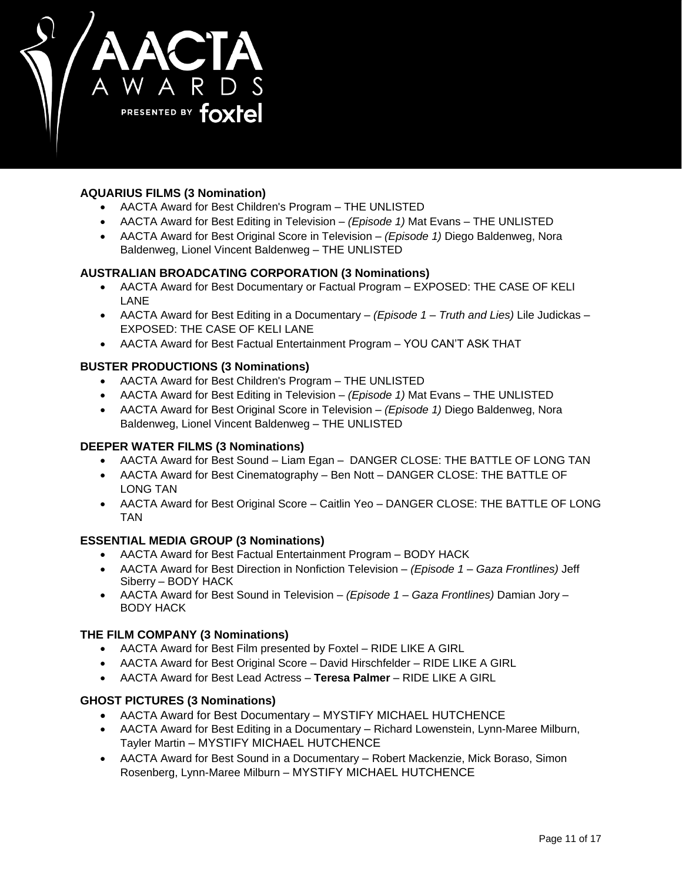

# **AQUARIUS FILMS (3 Nomination)**

- AACTA Award for Best Children's Program THE UNLISTED
- AACTA Award for Best Editing in Television *(Episode 1)* Mat Evans THE UNLISTED
- AACTA Award for Best Original Score in Television *(Episode 1)* Diego Baldenweg, Nora Baldenweg, Lionel Vincent Baldenweg – THE UNLISTED

# **AUSTRALIAN BROADCATING CORPORATION (3 Nominations)**

- AACTA Award for Best Documentary or Factual Program EXPOSED: THE CASE OF KELI LANE
- AACTA Award for Best Editing in a Documentary *(Episode 1 – Truth and Lies)* Lile Judickas EXPOSED: THE CASE OF KELI LANE
- AACTA Award for Best Factual Entertainment Program YOU CAN'T ASK THAT

# **BUSTER PRODUCTIONS (3 Nominations)**

- AACTA Award for Best Children's Program THE UNLISTED
- AACTA Award for Best Editing in Television *(Episode 1)* Mat Evans THE UNLISTED
- AACTA Award for Best Original Score in Television *(Episode 1)* Diego Baldenweg, Nora Baldenweg, Lionel Vincent Baldenweg – THE UNLISTED

# **DEEPER WATER FILMS (3 Nominations)**

- AACTA Award for Best Sound Liam Egan DANGER CLOSE: THE BATTLE OF LONG TAN
- AACTA Award for Best Cinematography Ben Nott DANGER CLOSE: THE BATTLE OF LONG TAN
- AACTA Award for Best Original Score Caitlin Yeo DANGER CLOSE: THE BATTLE OF LONG TAN

# **ESSENTIAL MEDIA GROUP (3 Nominations)**

- AACTA Award for Best Factual Entertainment Program BODY HACK
- AACTA Award for Best Direction in Nonfiction Television *(Episode 1 – Gaza Frontlines)* Jeff Siberry – BODY HACK
- AACTA Award for Best Sound in Television *(Episode 1 – Gaza Frontlines)* Damian Jory BODY HACK

# **THE FILM COMPANY (3 Nominations)**

- AACTA Award for Best Film presented by Foxtel RIDE LIKE A GIRL
- AACTA Award for Best Original Score David Hirschfelder RIDE LIKE A GIRL
- AACTA Award for Best Lead Actress **Teresa Palmer** RIDE LIKE A GIRL

### **GHOST PICTURES (3 Nominations)**

- AACTA Award for Best Documentary MYSTIFY MICHAEL HUTCHENCE
- AACTA Award for Best Editing in a Documentary Richard Lowenstein, Lynn-Maree Milburn, Tayler Martin – MYSTIFY MICHAEL HUTCHENCE
- AACTA Award for Best Sound in a Documentary Robert Mackenzie, Mick Boraso, Simon Rosenberg, Lynn-Maree Milburn – MYSTIFY MICHAEL HUTCHENCE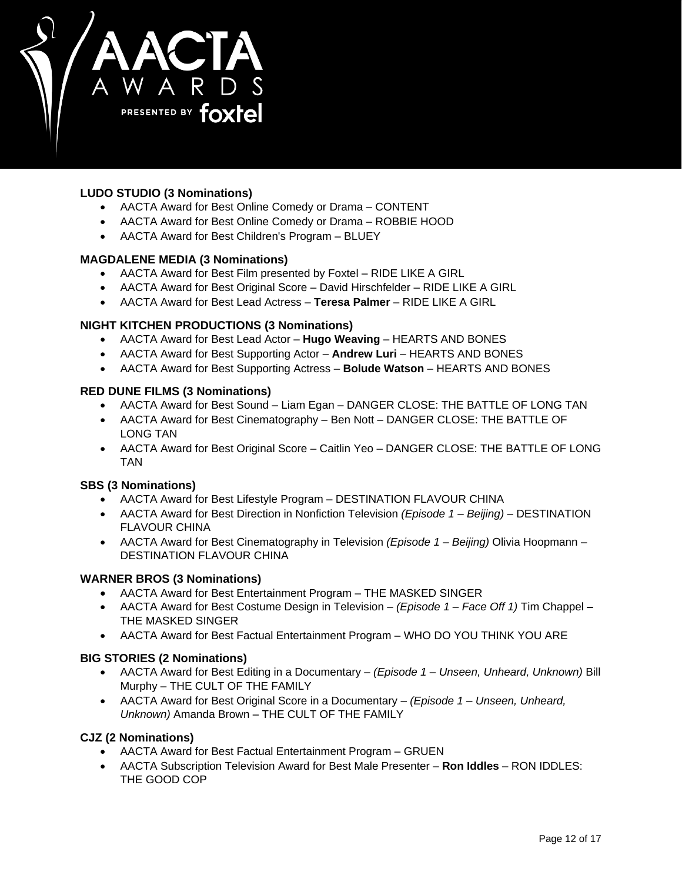

# **LUDO STUDIO (3 Nominations)**

- AACTA Award for Best Online Comedy or Drama CONTENT
- AACTA Award for Best Online Comedy or Drama ROBBIE HOOD
- AACTA Award for Best Children's Program BLUEY

## **MAGDALENE MEDIA (3 Nominations)**

- AACTA Award for Best Film presented by Foxtel RIDE LIKE A GIRL
- AACTA Award for Best Original Score David Hirschfelder RIDE LIKE A GIRL
- AACTA Award for Best Lead Actress **Teresa Palmer** RIDE LIKE A GIRL

# **NIGHT KITCHEN PRODUCTIONS (3 Nominations)**

- AACTA Award for Best Lead Actor **Hugo Weaving** HEARTS AND BONES
- AACTA Award for Best Supporting Actor **Andrew Luri** HEARTS AND BONES
- AACTA Award for Best Supporting Actress **Bolude Watson** HEARTS AND BONES

## **RED DUNE FILMS (3 Nominations)**

- AACTA Award for Best Sound Liam Egan DANGER CLOSE: THE BATTLE OF LONG TAN
- AACTA Award for Best Cinematography Ben Nott DANGER CLOSE: THE BATTLE OF LONG TAN
- AACTA Award for Best Original Score Caitlin Yeo DANGER CLOSE: THE BATTLE OF LONG TAN

# **SBS (3 Nominations)**

- AACTA Award for Best Lifestyle Program DESTINATION FLAVOUR CHINA
- AACTA Award for Best Direction in Nonfiction Television *(Episode 1 – Beijing)* DESTINATION FLAVOUR CHINA
- AACTA Award for Best Cinematography in Television *(Episode 1 – Beijing)* Olivia Hoopmann DESTINATION FLAVOUR CHINA

# **WARNER BROS (3 Nominations)**

- AACTA Award for Best Entertainment Program THE MASKED SINGER
- AACTA Award for Best Costume Design in Television *(Episode 1 – Face Off 1)* Tim Chappel **–** THE MASKED SINGER
- AACTA Award for Best Factual Entertainment Program WHO DO YOU THINK YOU ARE

# **BIG STORIES (2 Nominations)**

- AACTA Award for Best Editing in a Documentary *(Episode 1 – Unseen, Unheard, Unknown)* Bill Murphy – THE CULT OF THE FAMILY
- AACTA Award for Best Original Score in a Documentary *(Episode 1 – Unseen, Unheard, Unknown)* Amanda Brown – THE CULT OF THE FAMILY

### **CJZ (2 Nominations)**

- AACTA Award for Best Factual Entertainment Program GRUEN
- AACTA Subscription Television Award for Best Male Presenter **Ron Iddles** RON IDDLES: THE GOOD COP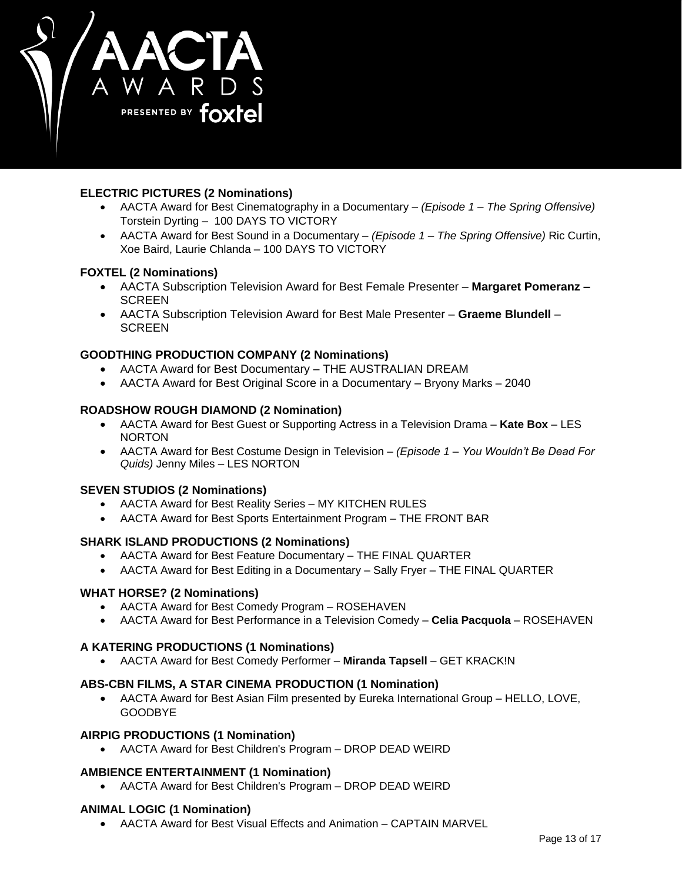

# **ELECTRIC PICTURES (2 Nominations)**

- AACTA Award for Best Cinematography in a Documentary *(Episode 1 – The Spring Offensive)* Torstein Dyrting – 100 DAYS TO VICTORY
- AACTA Award for Best Sound in a Documentary *(Episode 1 – The Spring Offensive)* Ric Curtin, Xoe Baird, Laurie Chlanda – 100 DAYS TO VICTORY

# **FOXTEL (2 Nominations)**

- AACTA Subscription Television Award for Best Female Presenter **Margaret Pomeranz – SCREEN**
- AACTA Subscription Television Award for Best Male Presenter **Graeme Blundell SCREEN**

# **GOODTHING PRODUCTION COMPANY (2 Nominations)**

- AACTA Award for Best Documentary THE AUSTRALIAN DREAM
- AACTA Award for Best Original Score in a Documentary Bryony Marks 2040

# **ROADSHOW ROUGH DIAMOND (2 Nomination)**

- AACTA Award for Best Guest or Supporting Actress in a Television Drama **Kate Box** LES NORTON
- AACTA Award for Best Costume Design in Television *(Episode 1 – You Wouldn't Be Dead For Quids)* Jenny Miles – LES NORTON

# **SEVEN STUDIOS (2 Nominations)**

- AACTA Award for Best Reality Series MY KITCHEN RULES
- AACTA Award for Best Sports Entertainment Program THE FRONT BAR

# **SHARK ISLAND PRODUCTIONS (2 Nominations)**

- AACTA Award for Best Feature Documentary THE FINAL QUARTER
- AACTA Award for Best Editing in a Documentary Sally Fryer THE FINAL QUARTER

# **WHAT HORSE? (2 Nominations)**

- AACTA Award for Best Comedy Program ROSEHAVEN
- AACTA Award for Best Performance in a Television Comedy **Celia Pacquola** ROSEHAVEN

### **A KATERING PRODUCTIONS (1 Nominations)**

AACTA Award for Best Comedy Performer – **Miranda Tapsell** – GET KRACK!N

# **ABS-CBN FILMS, A STAR CINEMA PRODUCTION (1 Nomination)**

 AACTA Award for Best Asian Film presented by Eureka International Group – HELLO, LOVE, GOODBYE

### **AIRPIG PRODUCTIONS (1 Nomination)**

AACTA Award for Best Children's Program – DROP DEAD WEIRD

# **AMBIENCE ENTERTAINMENT (1 Nomination)**

AACTA Award for Best Children's Program – DROP DEAD WEIRD

### **ANIMAL LOGIC (1 Nomination)**

AACTA Award for Best Visual Effects and Animation – CAPTAIN MARVEL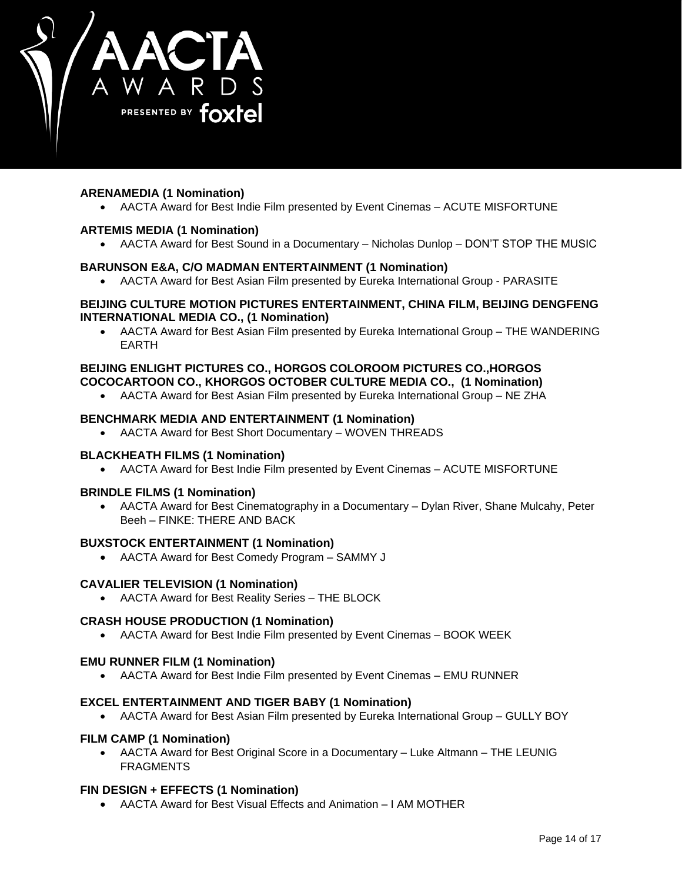

# **ARENAMEDIA (1 Nomination)**

AACTA Award for Best Indie Film presented by Event Cinemas – ACUTE MISFORTUNE

## **ARTEMIS MEDIA (1 Nomination)**

AACTA Award for Best Sound in a Documentary – Nicholas Dunlop – DON'T STOP THE MUSIC

## **BARUNSON E&A, C/O MADMAN ENTERTAINMENT (1 Nomination)**

AACTA Award for Best Asian Film presented by Eureka International Group - PARASITE

### **BEIJING CULTURE MOTION PICTURES ENTERTAINMENT, CHINA FILM, BEIJING DENGFENG INTERNATIONAL MEDIA CO., (1 Nomination)**

 AACTA Award for Best Asian Film presented by Eureka International Group – THE WANDERING EARTH

# **BEIJING ENLIGHT PICTURES CO., HORGOS COLOROOM PICTURES CO.,HORGOS COCOCARTOON CO., KHORGOS OCTOBER CULTURE MEDIA CO., (1 Nomination)**

AACTA Award for Best Asian Film presented by Eureka International Group – NE ZHA

## **BENCHMARK MEDIA AND ENTERTAINMENT (1 Nomination)**

AACTA Award for Best Short Documentary – WOVEN THREADS

### **BLACKHEATH FILMS (1 Nomination)**

AACTA Award for Best Indie Film presented by Event Cinemas – ACUTE MISFORTUNE

### **BRINDLE FILMS (1 Nomination)**

 AACTA Award for Best Cinematography in a Documentary – Dylan River, Shane Mulcahy, Peter Beeh – FINKE: THERE AND BACK

### **BUXSTOCK ENTERTAINMENT (1 Nomination)**

AACTA Award for Best Comedy Program – SAMMY J

### **CAVALIER TELEVISION (1 Nomination)**

AACTA Award for Best Reality Series – THE BLOCK

### **CRASH HOUSE PRODUCTION (1 Nomination)**

AACTA Award for Best Indie Film presented by Event Cinemas – BOOK WEEK

### **EMU RUNNER FILM (1 Nomination)**

AACTA Award for Best Indie Film presented by Event Cinemas – EMU RUNNER

### **EXCEL ENTERTAINMENT AND TIGER BABY (1 Nomination)**

AACTA Award for Best Asian Film presented by Eureka International Group – GULLY BOY

### **FILM CAMP (1 Nomination)**

 AACTA Award for Best Original Score in a Documentary – Luke Altmann – THE LEUNIG FRAGMENTS

### **FIN DESIGN + EFFECTS (1 Nomination)**

AACTA Award for Best Visual Effects and Animation – I AM MOTHER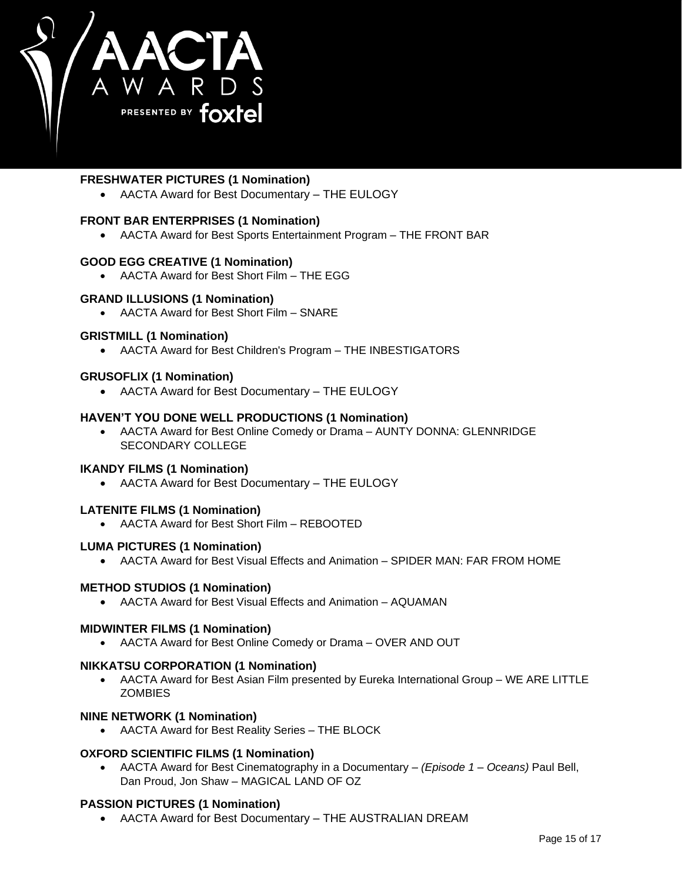

# **FRESHWATER PICTURES (1 Nomination)**

AACTA Award for Best Documentary – THE EULOGY

## **FRONT BAR ENTERPRISES (1 Nomination)**

AACTA Award for Best Sports Entertainment Program – THE FRONT BAR

## **GOOD EGG CREATIVE (1 Nomination)**

AACTA Award for Best Short Film – THE EGG

## **GRAND ILLUSIONS (1 Nomination)**

AACTA Award for Best Short Film – SNARE

## **GRISTMILL (1 Nomination)**

AACTA Award for Best Children's Program – THE INBESTIGATORS

## **GRUSOFLIX (1 Nomination)**

AACTA Award for Best Documentary – THE EULOGY

## **HAVEN'T YOU DONE WELL PRODUCTIONS (1 Nomination)**

 AACTA Award for Best Online Comedy or Drama – AUNTY DONNA: GLENNRIDGE SECONDARY COLLEGE

### **IKANDY FILMS (1 Nomination)**

AACTA Award for Best Documentary – THE EULOGY

### **LATENITE FILMS (1 Nomination)**

AACTA Award for Best Short Film – REBOOTED

### **LUMA PICTURES (1 Nomination)**

AACTA Award for Best Visual Effects and Animation – SPIDER MAN: FAR FROM HOME

### **METHOD STUDIOS (1 Nomination)**

AACTA Award for Best Visual Effects and Animation – AQUAMAN

### **MIDWINTER FILMS (1 Nomination)**

AACTA Award for Best Online Comedy or Drama – OVER AND OUT

### **NIKKATSU CORPORATION (1 Nomination)**

 AACTA Award for Best Asian Film presented by Eureka International Group – WE ARE LITTLE **ZOMBIES** 

## **NINE NETWORK (1 Nomination)**

AACTA Award for Best Reality Series – THE BLOCK

### **OXFORD SCIENTIFIC FILMS (1 Nomination)**

 AACTA Award for Best Cinematography in a Documentary – *(Episode 1 – Oceans)* Paul Bell, Dan Proud, Jon Shaw – MAGICAL LAND OF OZ

# **PASSION PICTURES (1 Nomination)**

AACTA Award for Best Documentary – THE AUSTRALIAN DREAM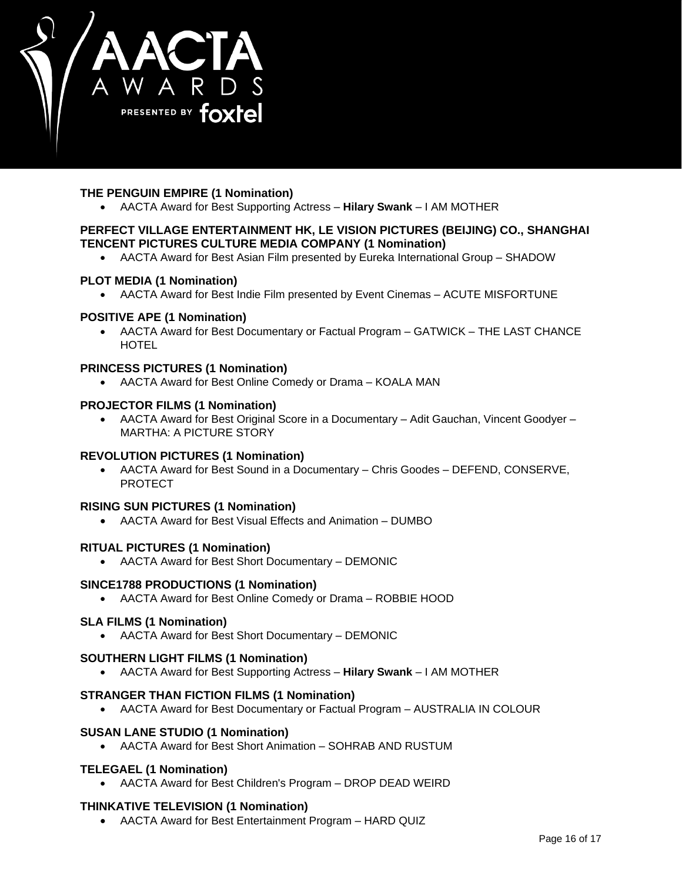

# **THE PENGUIN EMPIRE (1 Nomination)**

AACTA Award for Best Supporting Actress – **Hilary Swank** – I AM MOTHER

# **PERFECT VILLAGE ENTERTAINMENT HK, LE VISION PICTURES (BEIJING) CO., SHANGHAI TENCENT PICTURES CULTURE MEDIA COMPANY (1 Nomination)**

AACTA Award for Best Asian Film presented by Eureka International Group – SHADOW

# **PLOT MEDIA (1 Nomination)**

AACTA Award for Best Indie Film presented by Event Cinemas – ACUTE MISFORTUNE

## **POSITIVE APE (1 Nomination)**

 AACTA Award for Best Documentary or Factual Program – GATWICK – THE LAST CHANCE **HOTEL** 

### **PRINCESS PICTURES (1 Nomination)**

AACTA Award for Best Online Comedy or Drama – KOALA MAN

### **PROJECTOR FILMS (1 Nomination)**

 AACTA Award for Best Original Score in a Documentary – Adit Gauchan, Vincent Goodyer – MARTHA: A PICTURE STORY

# **REVOLUTION PICTURES (1 Nomination)**

 AACTA Award for Best Sound in a Documentary – Chris Goodes – DEFEND, CONSERVE, PROTECT

### **RISING SUN PICTURES (1 Nomination)**

AACTA Award for Best Visual Effects and Animation – DUMBO

### **RITUAL PICTURES (1 Nomination)**

AACTA Award for Best Short Documentary – DEMONIC

### **SINCE1788 PRODUCTIONS (1 Nomination)**

AACTA Award for Best Online Comedy or Drama – ROBBIE HOOD

# **SLA FILMS (1 Nomination)**

AACTA Award for Best Short Documentary – DEMONIC

### **SOUTHERN LIGHT FILMS (1 Nomination)**

AACTA Award for Best Supporting Actress – **Hilary Swank** – I AM MOTHER

### **STRANGER THAN FICTION FILMS (1 Nomination)**

AACTA Award for Best Documentary or Factual Program – AUSTRALIA IN COLOUR

### **SUSAN LANE STUDIO (1 Nomination)**

AACTA Award for Best Short Animation – SOHRAB AND RUSTUM

# **TELEGAEL (1 Nomination)**

AACTA Award for Best Children's Program – DROP DEAD WEIRD

# **THINKATIVE TELEVISION (1 Nomination)**

AACTA Award for Best Entertainment Program – HARD QUIZ